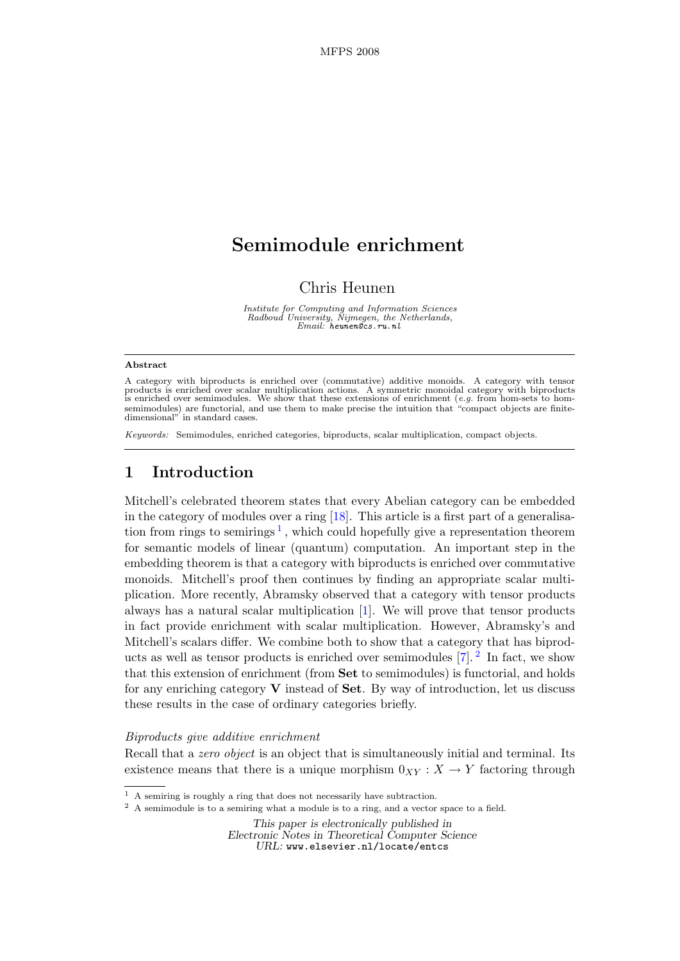# Semimodule enrichment

Chris Heunen

Institute for Computing and Information Sciences Radboud University, Nijmegen, the Netherlands, Email: heunen@cs.ru.nl

#### Abstract

A category with biproducts is enriched over (commutative) additive monoids. A category with tensor products is enriched over scalar multiplication actions. A symmetric monoidal category with biproducts is enriched over semimodules. We show that these extensions of enrichment (*e.g.* from hom-sets to homsemimodules) are functorial, and use them to make precise the intuition that "compact objects are finitedimensional" in standard cases.

Keywords: Semimodules, enriched categories, biproducts, scalar multiplication, compact objects.

# 1 Introduction

Mitchell's celebrated theorem states that every Abelian category can be embedded in the category of modules over a ring [\[18\]](#page-13-0). This article is a first part of a generalisa-tion from rings to semirings<sup>[1](#page-0-0)</sup>, which could hopefully give a representation theorem for semantic models of linear (quantum) computation. An important step in the embedding theorem is that a category with biproducts is enriched over commutative monoids. Mitchell's proof then continues by finding an appropriate scalar multiplication. More recently, Abramsky observed that a category with tensor products always has a natural scalar multiplication [\[1\]](#page-13-1). We will prove that tensor products in fact provide enrichment with scalar multiplication. However, Abramsky's and Mitchell's scalars differ. We combine both to show that a category that has biproducts as well as tensor products is enriched over semimodules  $[7]$ . <sup>[2](#page-0-1)</sup> In fact, we show that this extension of enrichment (from Set to semimodules) is functorial, and holds for any enriching category  $V$  instead of **Set**. By way of introduction, let us discuss these results in the case of ordinary categories briefly.

### Biproducts give additive enrichment

Recall that a *zero object* is an object that is simultaneously initial and terminal. Its existence means that there is a unique morphism  $0_{XY}: X \to Y$  factoring through

This paper is electronically published in Electronic Notes in Theoretical Computer Science URL: www.elsevier.nl/locate/entcs

<span id="page-0-0"></span> $^{\rm 1}$  A semiring is roughly a ring that does not necessarily have subtraction.

<span id="page-0-1"></span><sup>2</sup> A semimodule is to a semiring what a module is to a ring, and a vector space to a field.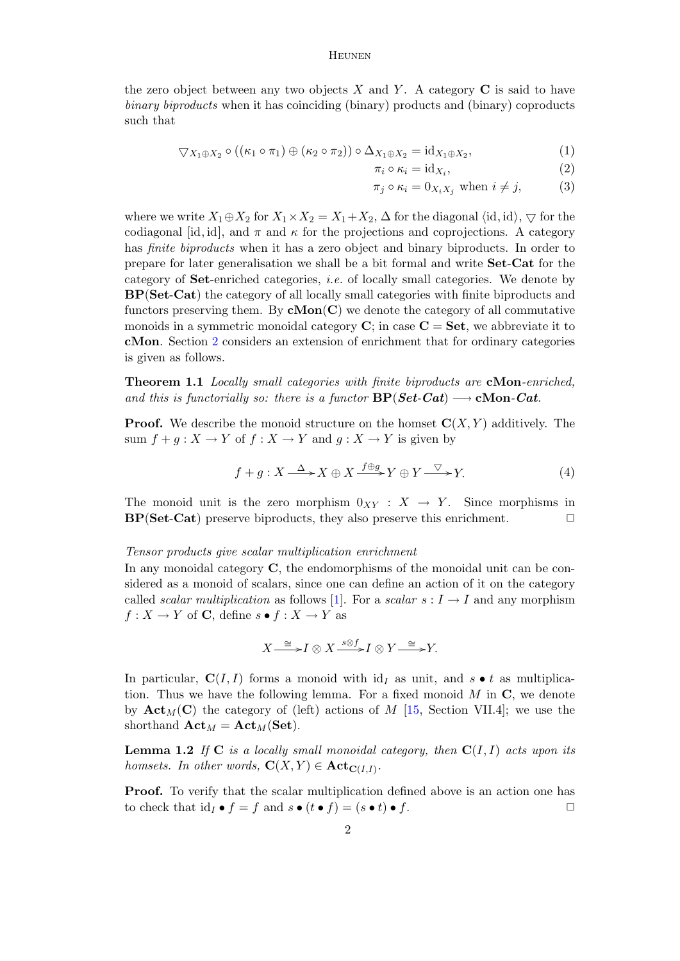the zero object between any two objects X and Y. A category  $C$  is said to have binary biproducts when it has coinciding (binary) products and (binary) coproducts such that

$$
\nabla X_1 \oplus X_2 \circ ((\kappa_1 \circ \pi_1) \oplus (\kappa_2 \circ \pi_2)) \circ \Delta_{X_1 \oplus X_2} = id_{X_1 \oplus X_2},
$$
\n(1)

<span id="page-1-3"></span><span id="page-1-2"></span><span id="page-1-1"></span>
$$
\pi_i \circ \kappa_i = \mathrm{id}_{X_i},\tag{2}
$$

$$
\pi_j \circ \kappa_i = 0_{X_i X_j} \text{ when } i \neq j,
$$
 (3)

where we write  $X_1 \oplus X_2$  for  $X_1 \times X_2 = X_1 + X_2$ ,  $\Delta$  for the diagonal  $\langle id, id \rangle$ ,  $\bigtriangledown$  for the codiagonal [id, id], and  $\pi$  and  $\kappa$  for the projections and coprojections. A category has *finite biproducts* when it has a zero object and binary biproducts. In order to prepare for later generalisation we shall be a bit formal and write Set-Cat for the category of Set-enriched categories, i.e. of locally small categories. We denote by BP(Set-Cat) the category of all locally small categories with finite biproducts and functors preserving them. By  $cMon(C)$  we denote the category of all commutative monoids in a symmetric monoidal category  $\mathbf{C}$ ; in case  $\mathbf{C} = \mathbf{Set}$ , we abbreviate it to cMon. Section [2](#page-3-0) considers an extension of enrichment that for ordinary categories is given as follows.

<span id="page-1-0"></span>Theorem 1.1 Locally small categories with finite biproducts are cMon-enriched, and this is functorially so: there is a functor  $BP(Set-Cat) \longrightarrow cMon-Cat$ .

**Proof.** We describe the monoid structure on the homset  $\mathbf{C}(X, Y)$  additively. The sum  $f + g : X \to Y$  of  $f : X \to Y$  and  $g : X \to Y$  is given by

$$
f + g: X \xrightarrow{\Delta} X \oplus X \xrightarrow{f \oplus g} Y \oplus Y \xrightarrow{\nabla} Y. \tag{4}
$$

The monoid unit is the zero morphism  $0_{XY} : X \rightarrow Y$ . Since morphisms in  $BP(Set-Cat)$  preserve biproducts, they also preserve this enrichment.  $\Box$ 

#### Tensor products give scalar multiplication enrichment

In any monoidal category C, the endomorphisms of the monoidal unit can be considered as a monoid of scalars, since one can define an action of it on the category called *scalar multiplication* as follows [\[1\]](#page-13-1). For a *scalar*  $s: I \to I$  and any morphism  $f: X \to Y$  of **C**, define  $s \bullet f: X \to Y$  as

$$
X \xrightarrow{\cong} I \otimes X \xrightarrow{s \otimes f} I \otimes Y \xrightarrow{\cong} Y.
$$

In particular,  $C(I, I)$  forms a monoid with  $id<sub>I</sub>$  as unit, and  $s \bullet t$  as multiplication. Thus we have the following lemma. For a fixed monoid  $M$  in  $\mathbb{C}$ , we denote by  $\text{Act}_{M}(C)$  the category of (left) actions of M [\[15,](#page-13-3) Section VII.4]; we use the shorthand  $\mathbf{Act}_M = \mathbf{Act}_M(\mathbf{Set})$ .

**Lemma 1.2** If C is a locally small monoidal category, then  $C(I, I)$  acts upon its homsets. In other words,  $\mathbf{C}(X,Y) \in \textbf{Act}_{\mathbf{C}(I,I)}$ .

Proof. To verify that the scalar multiplication defined above is an action one has to check that  $id_I \bullet f = f$  and  $s \bullet (t \bullet f) = (s \bullet t) \bullet f$ .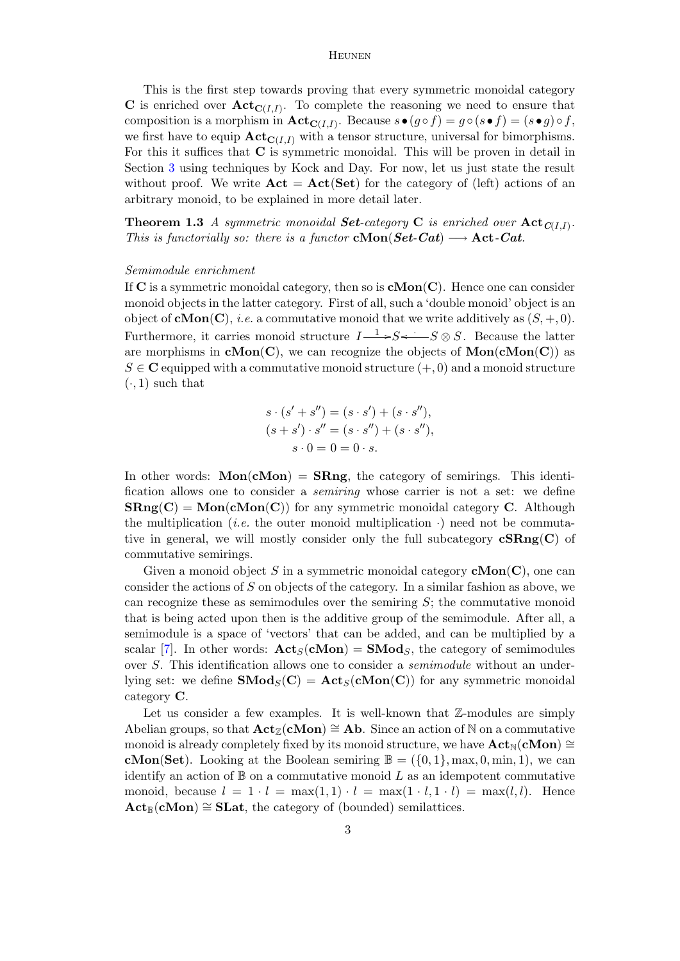This is the first step towards proving that every symmetric monoidal category **C** is enriched over  $\text{Act}_{\text{C}(I,I)}$ . To complete the reasoning we need to ensure that composition is a morphism in  $\mathbf{Act}_{\mathbf{C}(I,I)}$ . Because  $s \bullet (g \circ f) = g \circ (s \bullet f) = (s \bullet g) \circ f$ , we first have to equip  $\text{Act}_{\text{C}(I,I)}$  with a tensor structure, universal for bimorphisms. For this it suffices that C is symmetric monoidal. This will be proven in detail in Section [3](#page-6-0) using techniques by Kock and Day. For now, let us just state the result without proof. We write  $\text{Act} = \text{Act}(\text{Set})$  for the category of (left) actions of an arbitrary monoid, to be explained in more detail later.

<span id="page-2-0"></span>**Theorem 1.3** A symmetric monoidal **Set**-category **C** is enriched over  $\textbf{Act}_{C(I,I)}$ . This is functorially so: there is a functor **cMon**( $Set\text{-}Cat$ )  $\longrightarrow$  Act-Cat.

### Semimodule enrichment

If  $C$  is a symmetric monoidal category, then so is  $cMon(C)$ . Hence one can consider monoid objects in the latter category. First of all, such a 'double monoid' object is an object of  $cMon(C)$ , *i.e.* a commutative monoid that we write additively as  $(S, +, 0)$ . Furthermore, it carries monoid structure  $I \rightarrow S \rightarrow S \rightarrow S \otimes S$ . Because the latter are morphisms in  $\mathbf{cMon}(\mathbf{C})$ , we can recognize the objects of  $\mathbf{Mon}(\mathbf{cMon}(\mathbf{C}))$  as  $S \in \mathbb{C}$  equipped with a commutative monoid structure  $(+, 0)$  and a monoid structure  $(\cdot, 1)$  such that

$$
s \cdot (s' + s'') = (s \cdot s') + (s \cdot s''),
$$
  
\n
$$
(s + s') \cdot s'' = (s \cdot s'') + (s \cdot s''),
$$
  
\n
$$
s \cdot 0 = 0 = 0 \cdot s.
$$

In other words:  $Mon(cMon) = SRng$ , the category of semirings. This identification allows one to consider a semiring whose carrier is not a set: we define  $\mathbf{SRng}(\mathbf{C}) = \mathbf{Mon}(\mathbf{cMon}(\mathbf{C}))$  for any symmetric monoidal category **C**. Although the multiplication (*i.e.* the outer monoid multiplication  $\cdot$ ) need not be commutative in general, we will mostly consider only the full subcategory  $\mathbf{cSRng}(C)$  of commutative semirings.

Given a monoid object S in a symmetric monoidal category  $cMon(C)$ , one can consider the actions of S on objects of the category. In a similar fashion as above, we can recognize these as semimodules over the semiring  $S$ ; the commutative monoid that is being acted upon then is the additive group of the semimodule. After all, a semimodule is a space of 'vectors' that can be added, and can be multiplied by a scalar [\[7\]](#page-13-2). In other words:  $\mathbf{Act}_{S}(\mathbf{cMon}) = \mathbf{SMod}_{S}$ , the category of semimodules over S. This identification allows one to consider a semimodule without an underlying set: we define  $\textbf{SMod}_S(C) = \textbf{Act}_S(\textbf{cMon}(C))$  for any symmetric monoidal category C.

Let us consider a few examples. It is well-known that  $\mathbb{Z}\text{-modules}$  are simply Abelian groups, so that  $\mathbf{Act}_{\mathbb{Z}}(c\mathbf{Mon}) \cong \mathbf{Ab}$ . Since an action of N on a commutative monoid is already completely fixed by its monoid structure, we have  $\text{Act}_{N}(\text{cMon}) \cong$ **cMon(Set).** Looking at the Boolean semiring  $\mathbb{B} = (\{0, 1\}, \max, 0, \min, 1)$ , we can identify an action of  $\mathbb B$  on a commutative monoid L as an idempotent commutative monoid, because  $l = 1 \cdot l = \max(1, 1) \cdot l = \max(1 \cdot l, 1 \cdot l) = \max(l, l)$ . Hence  $\mathbf{Act}_{\mathbb{R}}(\mathbf{cMon}) \cong \mathbf{SLat}$ , the category of (bounded) semilattices.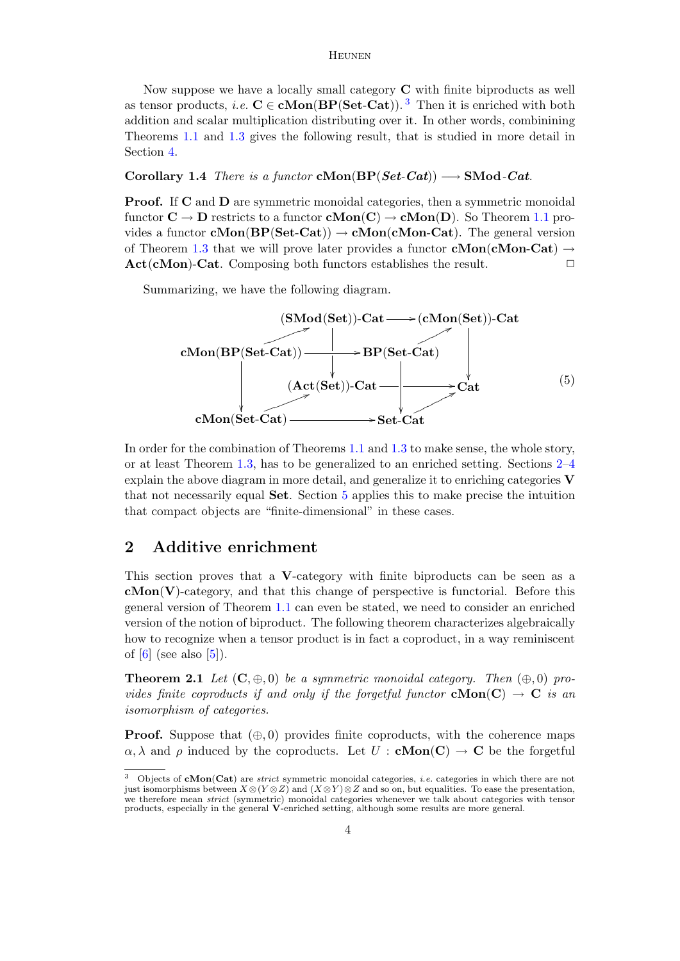Now suppose we have a locally small category C with finite biproducts as well as tensor products, *i.e.*  $C \in \mathbf{cMon}(\mathbf{BP}(\mathbf{Set}\text{-}\mathbf{Cat}))$ .<sup>[3](#page-3-1)</sup> Then it is enriched with both addition and scalar multiplication distributing over it. In other words, combinining Theorems [1.1](#page-1-0) and [1.3](#page-2-0) gives the following result, that is studied in more detail in Section [4.](#page-10-0)

### Corollary 1.4 There is a functor cMon(BP(Set-Cat))  $\longrightarrow$  SMod-Cat.

Proof. If C and D are symmetric monoidal categories, then a symmetric monoidal functor  $C \to D$  restricts to a functor  $cMon(C) \to cMon(D)$ . So Theorem [1.1](#page-1-0) provides a functor **cMon**( $BP(Set-Cat)$ )  $\rightarrow$  **cMon**(**cMon-Cat**). The general version of Theorem [1.3](#page-2-0) that we will prove later provides a functor **cMon**(**cMon-Cat**)  $\rightarrow$  $\textbf{Act}(\textbf{cMon})\textbf{-Cat}$ . Composing both functors establishes the result.  $\Box$ 

Summarizing, we have the following diagram.

<span id="page-3-3"></span>

In order for the combination of Theorems [1.1](#page-1-0) and [1.3](#page-2-0) to make sense, the whole story, or at least Theorem [1.3,](#page-2-0) has to be generalized to an enriched setting. Sections [2–](#page-3-0)[4](#page-10-0) explain the above diagram in more detail, and generalize it to enriching categories  $V$ that not necessarily equal Set. Section [5](#page-11-0) applies this to make precise the intuition that compact objects are "finite-dimensional" in these cases.

# <span id="page-3-0"></span>2 Additive enrichment

This section proves that a V-category with finite biproducts can be seen as a  $cMon(V)$ -category, and that this change of perspective is functorial. Before this general version of Theorem [1.1](#page-1-0) can even be stated, we need to consider an enriched version of the notion of biproduct. The following theorem characterizes algebraically how to recognize when a tensor product is in fact a coproduct, in a way reminiscent of  $[6]$  (see also  $[5]$ ).

<span id="page-3-2"></span>**Theorem 2.1** Let  $(C, \oplus, 0)$  be a symmetric monoidal category. Then  $(\oplus, 0)$  provides finite coproducts if and only if the forgetful functor  $cMon(C) \rightarrow C$  is an isomorphism of categories.

**Proof.** Suppose that  $(\oplus, 0)$  provides finite coproducts, with the coherence maps  $\alpha, \lambda$  and  $\rho$  induced by the coproducts. Let  $U : \mathbf{cMon}(\mathbf{C}) \to \mathbf{C}$  be the forgetful

<span id="page-3-1"></span><sup>&</sup>lt;sup>3</sup> Objects of **cMon(Cat)** are *strict* symmetric monoidal categories, *i.e.* categories in which there are not just isomorphisms between  $X \otimes (Y \otimes Z)$  and  $(X \otimes Y) \otimes Z$  and so on, but equalities. To ease the presentation, we therefore mean *strict* (symmetric) monoidal categories whenever we talk about categories with tensor products, especially in the general **V**-enriched setting, although some results are more general.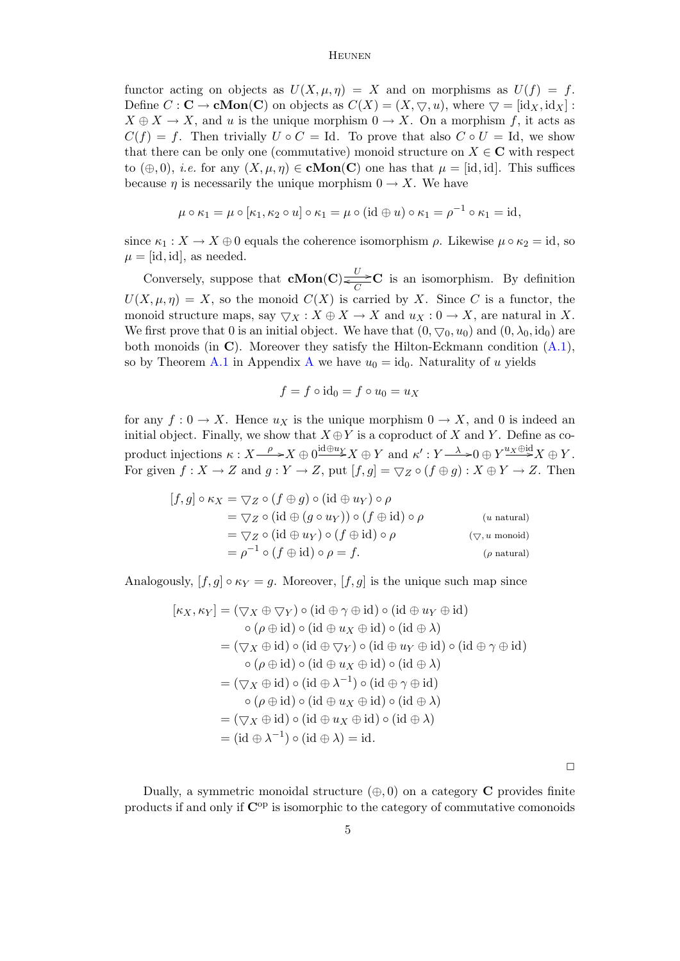functor acting on objects as  $U(X, \mu, \eta) = X$  and on morphisms as  $U(f) = f$ . Define  $C : \mathbf{C} \to \mathbf{cMon}(\mathbf{C})$  on objects as  $C(X) = (X, \nabla, u)$ , where  $\nabla = [\mathrm{id}_X, \mathrm{id}_X]$ :  $X \oplus X \to X$ , and u is the unique morphism  $0 \to X$ . On a morphism f, it acts as  $C(f) = f$ . Then trivially  $U \circ C = Id$ . To prove that also  $C \circ U = Id$ , we show that there can be only one (commutative) monoid structure on  $X \in \mathbb{C}$  with respect to  $(\oplus, 0)$ , *i.e.* for any  $(X, \mu, \eta) \in \mathbf{cMon}(\mathbf{C})$  one has that  $\mu = [\text{id}, \text{id}]$ . This suffices because  $\eta$  is necessarily the unique morphism  $0 \to X$ . We have

$$
\mu \circ \kappa_1 = \mu \circ [\kappa_1, \kappa_2 \circ u] \circ \kappa_1 = \mu \circ (\mathrm{id} \oplus u) \circ \kappa_1 = \rho^{-1} \circ \kappa_1 = \mathrm{id},
$$

since  $\kappa_1 : X \to X \oplus 0$  equals the coherence isomorphism  $\rho$ . Likewise  $\mu \circ \kappa_2 = id$ , so  $\mu = [id, id]$ , as needed.

Conversely, suppose that  $cMon(C) \xleftarrow{U} C$  is an isomorphism. By definition  $U(X, \mu, \eta) = X$ , so the monoid  $C(X)$  is carried by X. Since C is a functor, the monoid structure maps, say  $\nabla X : X \oplus X \to X$  and  $u_X : 0 \to X$ , are natural in X. We first prove that 0 is an initial object. We have that  $(0, \nabla_0, u_0)$  and  $(0, \lambda_0, \text{id}_0)$  are both monoids (in C). Moreover they satisfy the Hilton-Eckmann condition  $(A.1)$ , so by Theorem [A.1](#page-14-1) in [A](#page-14-2)ppendix A we have  $u_0 = id_0$ . Naturality of u yields

$$
f = f \circ id_0 = f \circ u_0 = u_X
$$

for any  $f: 0 \to X$ . Hence  $u_X$  is the unique morphism  $0 \to X$ , and 0 is indeed an initial object. Finally, we show that  $X \oplus Y$  is a coproduct of X and Y. Define as coproduct injections  $\kappa: X \longrightarrow X \oplus 0 \longrightarrow X \oplus Y$  and  $\kappa': Y \longrightarrow 0 \oplus Y \longrightarrow^{\text{u}} X \oplus Y$ . For given  $f: X \to Z$  and  $g: Y \to Z$ , put  $[f, g] = \bigtriangledown_Z \circ (f \oplus g) : X \oplus Y \to Z$ . Then

$$
[f,g] \circ \kappa_X = \nabla_Z \circ (f \oplus g) \circ (\mathrm{id} \oplus u_Y) \circ \rho
$$
  
=  $\nabla_Z \circ (\mathrm{id} \oplus (g \circ u_Y)) \circ (f \oplus \mathrm{id}) \circ \rho$  (*u* natural)  
=  $\nabla_Z \circ (\mathrm{id} \oplus u_Y) \circ (f \oplus \mathrm{id}) \circ \rho$  ( $\nabla, u$  monoid)  
=  $\rho^{-1} \circ (f \oplus \mathrm{id}) \circ \rho = f$ . (*ρ* natural)

Analogously,  $[f, g] \circ \kappa_Y = g$ . Moreover,  $[f, g]$  is the unique such map since

$$
[\kappa_X, \kappa_Y] = (\nabla_X \oplus \nabla_Y) \circ (\mathrm{id} \oplus \gamma \oplus \mathrm{id}) \circ (\mathrm{id} \oplus u_Y \oplus \mathrm{id})
$$
  
\n
$$
\circ (\rho \oplus \mathrm{id}) \circ (\mathrm{id} \oplus u_X \oplus \mathrm{id}) \circ (\mathrm{id} \oplus \lambda)
$$
  
\n
$$
= (\nabla_X \oplus \mathrm{id}) \circ (\mathrm{id} \oplus \nabla_Y) \circ (\mathrm{id} \oplus u_Y \oplus \mathrm{id}) \circ (\mathrm{id} \oplus \gamma \oplus \mathrm{id})
$$
  
\n
$$
\circ (\rho \oplus \mathrm{id}) \circ (\mathrm{id} \oplus u_X \oplus \mathrm{id}) \circ (\mathrm{id} \oplus \lambda)
$$
  
\n
$$
= (\nabla_X \oplus \mathrm{id}) \circ (\mathrm{id} \oplus \lambda^{-1}) \circ (\mathrm{id} \oplus \gamma \oplus \mathrm{id})
$$
  
\n
$$
\circ (\rho \oplus \mathrm{id}) \circ (\mathrm{id} \oplus u_X \oplus \mathrm{id}) \circ (\mathrm{id} \oplus \lambda)
$$
  
\n
$$
= (\nabla_X \oplus \mathrm{id}) \circ (\mathrm{id} \oplus u_X \oplus \mathrm{id}) \circ (\mathrm{id} \oplus \lambda)
$$
  
\n
$$
= (\mathrm{id} \oplus \lambda^{-1}) \circ (\mathrm{id} \oplus \lambda) = \mathrm{id}.
$$

 $\Box$ 

Dually, a symmetric monoidal structure  $(\oplus, 0)$  on a category **C** provides finite products if and only if  $\mathbb{C}^{\text{op}}$  is isomorphic to the category of commutative comonoids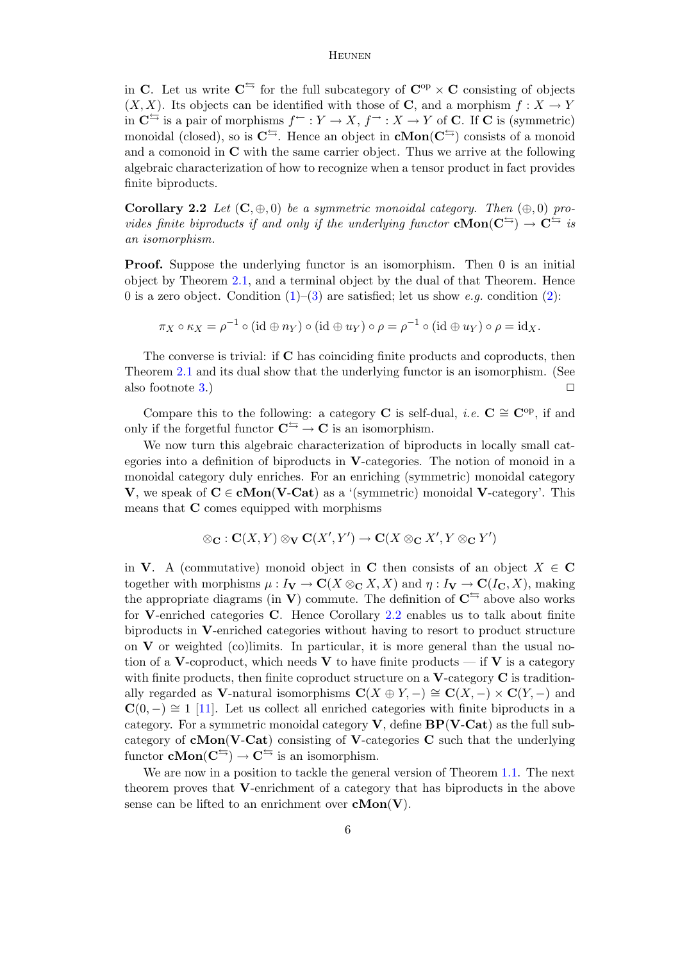in C. Let us write  $C^{\leq}$  for the full subcategory of  $C^{op} \times C$  consisting of objects  $(X, X)$ . Its objects can be identified with those of **C**, and a morphism  $f : X \to Y$ in  $\mathbb{C}^{\rightharpoonup}$  is a pair of morphisms  $f^{\leftarrow}: Y \to X, f^{\rightarrow}: X \to Y$  of C. If C is (symmetric) monoidal (closed), so is  $C^{\frac{1}{2}}$ . Hence an object in  $cMon(C^{\frac{1}{2}})$  consists of a monoid and a comonoid in  $C$  with the same carrier object. Thus we arrive at the following algebraic characterization of how to recognize when a tensor product in fact provides finite biproducts.

<span id="page-5-0"></span>**Corollary 2.2** Let  $(C, \oplus, 0)$  be a symmetric monoidal category. Then  $(\oplus, 0)$  provides finite biproducts if and only if the underlying functor  $\mathbf{cMon}(\mathbf{C}^{\leq}) \to \mathbf{C}^{\leq}$  is an isomorphism.

**Proof.** Suppose the underlying functor is an isomorphism. Then 0 is an initial object by Theorem [2.1,](#page-3-2) and a terminal object by the dual of that Theorem. Hence 0 is a zero object. Condition  $(1)$ – $(3)$  are satisfied; let us show *e.g.* condition  $(2)$ :

$$
\pi_X \circ \kappa_X = \rho^{-1} \circ (\mathrm{id} \oplus n_Y) \circ (\mathrm{id} \oplus u_Y) \circ \rho = \rho^{-1} \circ (\mathrm{id} \oplus u_Y) \circ \rho = \mathrm{id}_X.
$$

The converse is trivial: if **C** has coinciding finite products and coproducts, then Theorem [2.1](#page-3-2) and its dual show that the underlying functor is an isomorphism. (See also footnote [3.](#page-3-1))  $\Box$ 

Compare this to the following: a category C is self-dual, *i.e.*  $C \cong \mathbb{C}^{\text{op}}$ , if and only if the forgetful functor  $\mathbf{C}^{\leftrightharpoonup} \to \mathbf{C}$  is an isomorphism.

We now turn this algebraic characterization of biproducts in locally small categories into a definition of biproducts in  $V$ -categories. The notion of monoid in a monoidal category duly enriches. For an enriching (symmetric) monoidal category **V**, we speak of  $C \in \text{cMon}(V\text{-Cat})$  as a '(symmetric) monoidal V-category'. This means that C comes equipped with morphisms

$$
\otimes_{\mathbf{C}} : \mathbf{C}(X,Y) \otimes_{\mathbf{V}} \mathbf{C}(X',Y') \to \mathbf{C}(X \otimes_{\mathbf{C}} X',Y \otimes_{\mathbf{C}} Y')
$$

in V. A (commutative) monoid object in C then consists of an object  $X \in \mathbb{C}$ together with morphisms  $\mu: I_{\mathbf{V}} \to \mathbf{C}(X \otimes_{\mathbf{C}} X, X)$  and  $\eta: I_{\mathbf{V}} \to \mathbf{C}(I_{\mathbf{C}}, X)$ , making the appropriate diagrams (in V) commute. The definition of  $\mathbb{C}^{\leq}$  above also works for V-enriched categories C. Hence Corollary [2.2](#page-5-0) enables us to talk about finite biproducts in V-enriched categories without having to resort to product structure on V or weighted (co)limits. In particular, it is more general than the usual notion of a V-coproduct, which needs V to have finite products — if V is a category with finite products, then finite coproduct structure on a  $V$ -category  $C$  is traditionally regarded as V-natural isomorphisms  $\mathbf{C}(X \oplus Y, -) \cong \mathbf{C}(X, -) \times \mathbf{C}(Y, -)$  and  $C(0, -) \cong 1$  [\[11\]](#page-13-6). Let us collect all enriched categories with finite biproducts in a category. For a symmetric monoidal category  $V$ , define  $BP(V\text{-}\mathrm{Cat})$  as the full subcategory of  $cMon(V-Cat)$  consisting of V-categories C such that the underlying functor  $cMon(C^{\leftrightarrows}) \rightarrow C^{\leftrightarrows}$  is an isomorphism.

We are now in a position to tackle the general version of Theorem [1.1.](#page-1-0) The next theorem proves that V-enrichment of a category that has biproducts in the above sense can be lifted to an enrichment over  $\mathbf{cMon}(V)$ .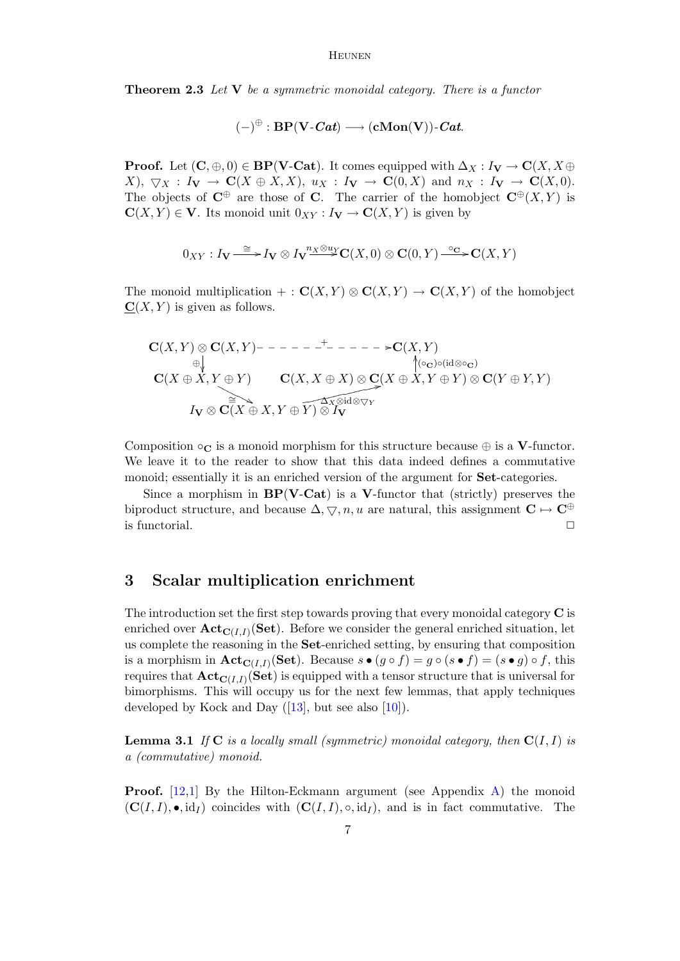**Theorem 2.3** Let **V** be a symmetric monoidal category. There is a functor

$$
(-)^{\oplus}:\mathrm{BP}(\mathbf{V}\text{-}\mathbf{\textit{Cat}})\longrightarrow(\mathbf{cMon}(\mathbf{V}))\text{-}\mathbf{\textit{Cat}}.
$$

**Proof.** Let  $(C, \oplus, 0) \in BP(V\text{-}\mathbf{Cat})$ . It comes equipped with  $\Delta_X : I_V \to \mathbf{C}(X, X \oplus Y)$  $X$ ,  $\nabla_X : I_V \to \mathbf{C}(X \oplus X, X)$ ,  $u_X : I_V \to \mathbf{C}(0, X)$  and  $n_X : I_V \to \mathbf{C}(X, 0)$ . The objects of  $\mathbb{C}^{\oplus}$  are those of C. The carrier of the homobject  $\mathbb{C}^{\oplus}(X, Y)$  is  $C(X, Y) \in V$ . Its monoid unit  $0_{XY}: I_V \to C(X, Y)$  is given by

$$
0_{XY}: I_{\mathbf{V}} \stackrel{\cong}{\longrightarrow} I_{\mathbf{V}} \otimes I_{\mathbf{V}} \stackrel{n_X \otimes u_Y}{\longrightarrow} \mathbf{C}(X,0) \otimes \mathbf{C}(0,Y) \stackrel{\circ_{\mathbf{C}}}{\longrightarrow} \mathbf{C}(X,Y)
$$

The monoid multiplication + :  $\mathbf{C}(X,Y) \otimes \mathbf{C}(X,Y) \to \mathbf{C}(X,Y)$  of the homobject  $C(X, Y)$  is given as follows.

$$
\mathbf{C}(X,Y) \otimes \mathbf{C}(X,Y) \rightarrow - - - - - - - - - - - \rightarrow \mathbf{C}(X,Y)
$$
\n
$$
\oplus \qquad \qquad \downarrow \qquad \qquad \downarrow \qquad \qquad \downarrow \qquad \qquad \downarrow \qquad \qquad \downarrow \qquad \qquad \downarrow \qquad \qquad \downarrow \qquad \qquad \downarrow \qquad \qquad \downarrow \qquad \qquad \downarrow \qquad \qquad \downarrow \qquad \qquad \downarrow \qquad \qquad \downarrow \qquad \qquad \downarrow \qquad \qquad \downarrow \qquad \qquad \downarrow \qquad \qquad \downarrow \qquad \qquad \downarrow \qquad \qquad \downarrow \qquad \qquad \downarrow \qquad \qquad \downarrow \qquad \qquad \downarrow \qquad \qquad \downarrow \qquad \qquad \downarrow \qquad \qquad \downarrow \qquad \qquad \downarrow \qquad \qquad \downarrow \qquad \qquad \downarrow \qquad \qquad \downarrow \qquad \downarrow \qquad \qquad \downarrow \qquad \qquad \downarrow \qquad \qquad \downarrow \qquad \qquad \downarrow \qquad \qquad \downarrow \qquad \qquad \downarrow \qquad \qquad \downarrow \qquad \qquad \downarrow \qquad \qquad \downarrow \qquad \qquad \downarrow \qquad \qquad \downarrow \qquad \qquad \downarrow \qquad \qquad \downarrow \qquad \qquad \downarrow \qquad \qquad \downarrow \qquad \qquad \downarrow \qquad \qquad \downarrow \qquad \qquad \downarrow \qquad \qquad \downarrow \qquad \qquad \downarrow \qquad \qquad \downarrow \qquad \qquad \downarrow \qquad \qquad \downarrow \qquad \qquad \downarrow \qquad \qquad \downarrow \qquad \qquad \downarrow \qquad \qquad \downarrow \qquad \qquad \downarrow \qquad \qquad \downarrow \qquad \qquad \downarrow \qquad \qquad \downarrow \qquad \qquad \downarrow \qquad \qquad \downarrow \qquad \qquad \downarrow \qquad \qquad \downarrow \qquad \qquad \downarrow \qquad \qquad \downarrow \qquad \qquad \downarrow \qquad \qquad \downarrow \qquad \qquad \downarrow \qquad \qquad \downarrow \qquad \qquad \downarrow \qquad \qquad \downarrow \qquad \qquad \downarrow \qquad \qquad \downarrow \qquad \qquad \downarrow \qquad \qquad \downarrow \qquad \qquad \downarrow \qquad \q
$$

Composition  $\circ_{\mathbf{C}}$  is a monoid morphism for this structure because  $\oplus$  is a **V**-functor. We leave it to the reader to show that this data indeed defines a commutative monoid; essentially it is an enriched version of the argument for Set-categories.

Since a morphism in  $BP(V-Cat)$  is a V-functor that (strictly) preserves the biproduct structure, and because  $\Delta, \nabla, n, u$  are natural, this assignment  $\mathbf{C} \mapsto \mathbf{C}^{\oplus}$ is functorial.  $\Box$ 

### <span id="page-6-0"></span>3 Scalar multiplication enrichment

The introduction set the first step towards proving that every monoidal category  $\bf{C}$  is enriched over  $\mathbf{Act}_{\mathbf{C}(I,I)}(\mathbf{Set})$ . Before we consider the general enriched situation, let us complete the reasoning in the Set-enriched setting, by ensuring that composition is a morphism in  $\mathbf{Act}_{\mathbf{C}(I,I)}(\mathbf{Set})$ . Because  $s \bullet (g \circ f) = g \circ (s \bullet f) = (s \bullet g) \circ f$ , this requires that  $\mathbf{Act}_{\mathbf{C}(I,I)}(\mathbf{Set})$  is equipped with a tensor structure that is universal for bimorphisms. This will occupy us for the next few lemmas, that apply techniques developed by Kock and Day  $([13], \text{ but see also } [10]).$  $([13], \text{ but see also } [10]).$  $([13], \text{ but see also } [10]).$  $([13], \text{ but see also } [10]).$  $([13], \text{ but see also } [10]).$ 

<span id="page-6-1"></span>**Lemma 3.1** If  $C$  is a locally small (symmetric) monoidal category, then  $C(I, I)$  is a (commutative) monoid.

**Proof.** [\[12](#page-13-9)[,1\]](#page-13-1) By the Hilton-Eckmann argument (see Appendix [A\)](#page-14-2) the monoid  $({\bf C}(I, I), \bullet, id_I)$  coincides with  $({\bf C}(I, I), \circ, id_I)$ , and is in fact commutative. The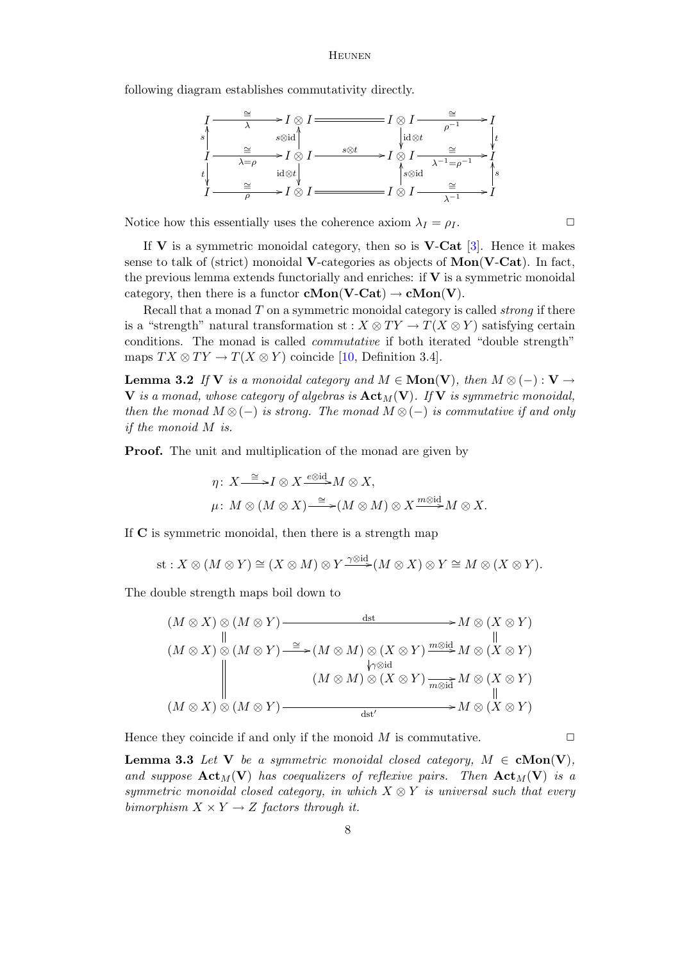following diagram establishes commutativity directly.



Notice how this essentially uses the coherence axiom  $\lambda_I = \rho_I$ .

If  $V$  is a symmetric monoidal category, then so is  $V$ -Cat [\[3\]](#page-13-10). Hence it makes sense to talk of (strict) monoidal **V**-categories as objects of  $\text{Mon}(\textbf{V-Cat})$ . In fact, the previous lemma extends functorially and enriches: if  $V$  is a symmetric monoidal category, then there is a functor  $\mathbf{cMon}(\mathbf{V}\text{-}\mathbf{Cat}) \to \mathbf{cMon}(\mathbf{V})$ .

Recall that a monad  $T$  on a symmetric monoidal category is called *strong* if there is a "strength" natural transformation st :  $X \otimes TY \to T(X \otimes Y)$  satisfying certain conditions. The monad is called commutative if both iterated "double strength" maps  $TX \otimes TY \to T(X \otimes Y)$  coincide [\[10,](#page-13-8) Definition 3.4].

**Lemma 3.2** If V is a monoidal category and  $M \in \textbf{Mon}(V)$ , then  $M \otimes (-): V \rightarrow$ V is a monad, whose category of algebras is  $\text{Act}_{M}(\mathbf{V})$ . If V is symmetric monoidal, then the monad  $M \otimes (-)$  is strong. The monad  $M \otimes (-)$  is commutative if and only if the monoid M is.

**Proof.** The unit and multiplication of the monad are given by

$$
\eta\colon X\mathop{\longrightarrow}\limits^{\cong} I\otimes X\mathop{\longrightarrow}\limits^{\underline{\otimes}\mathrm{id}}M\otimes X,
$$
  

$$
\mu\colon M\otimes (M\otimes X)\mathop{\longrightarrow}\limits^{\cong} (M\otimes M)\otimes X\mathop{\longrightarrow}\limits^{\underline{m\otimes}\mathrm{id}}M\otimes X.
$$

If C is symmetric monoidal, then there is a strength map

st: 
$$
X \otimes (M \otimes Y) \cong (X \otimes M) \otimes Y \xrightarrow{\gamma \otimes id} (M \otimes X) \otimes Y \cong M \otimes (X \otimes Y).
$$

The double strength maps boil down to

$$
(M \otimes X) \otimes (M \otimes Y) \xrightarrow{\text{dist}} M \otimes (X \otimes Y)
$$
  
\n
$$
(M \otimes X) \otimes (M \otimes Y) \xrightarrow{\cong} (M \otimes M) \otimes (X \otimes Y) \xrightarrow{\text{modid}} M \otimes (X \otimes Y)
$$
  
\n
$$
(M \otimes X) \otimes (M \otimes Y) \xrightarrow{\text{grad}} (M \otimes M) \otimes (X \otimes Y) \xrightarrow{\text{modid}} M \otimes (X \otimes Y)
$$
  
\n
$$
(M \otimes X) \otimes (M \otimes Y) \xrightarrow{\text{dist'}} M \otimes (X \otimes Y)
$$

Hence they coincide if and only if the monoid  $M$  is commutative.  $\Box$ 

<span id="page-7-0"></span>**Lemma 3.3** Let V be a symmetric monoidal closed category,  $M \in \text{cMon}(V)$ , and suppose  $\text{Act}_{M}(V)$  has coequalizers of reflexive pairs. Then  $\text{Act}_{M}(V)$  is a symmetric monoidal closed category, in which  $X \otimes Y$  is universal such that every bimorphism  $X \times Y \rightarrow Z$  factors through it.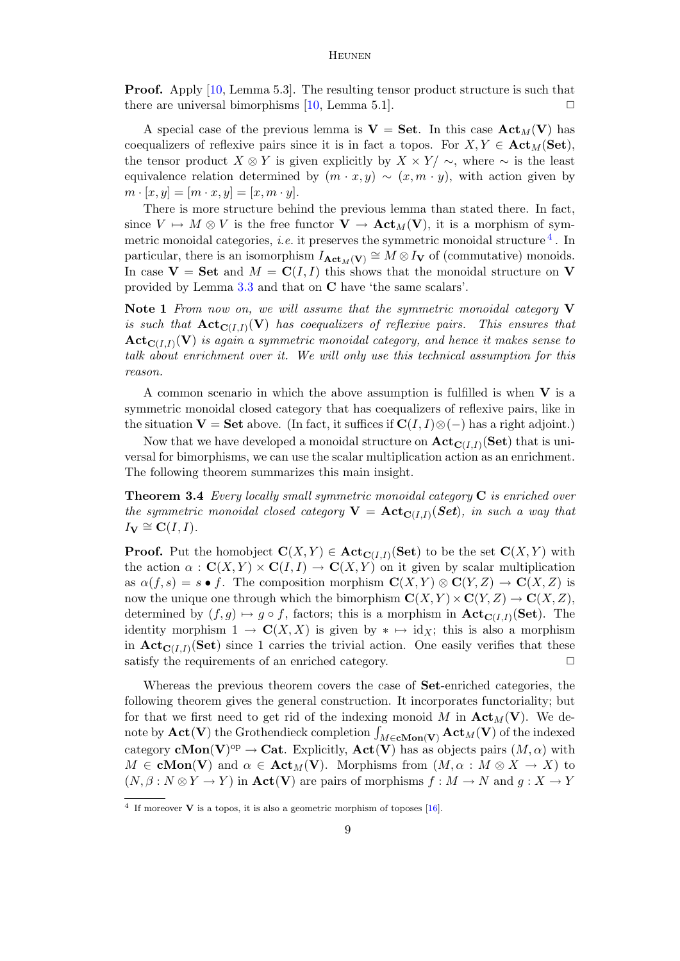Proof. Apply [\[10,](#page-13-8) Lemma 5.3]. The resulting tensor product structure is such that there are universal bimorphisms  $[10, \text{Lemma } 5.1]$  $[10, \text{Lemma } 5.1]$ .

A special case of the previous lemma is  $V = Set$ . In this case  $Act_M(V)$  has coequalizers of reflexive pairs since it is in fact a topos. For  $X, Y \in \textbf{Act}_{M}(\textbf{Set}),$ the tensor product  $X \otimes Y$  is given explicitly by  $X \times Y / \sim$ , where  $\sim$  is the least equivalence relation determined by  $(m \cdot x, y) \sim (x, m \cdot y)$ , with action given by  $m \cdot [x, y] = [m \cdot x, y] = [x, m \cdot y].$ 

There is more structure behind the previous lemma than stated there. In fact, since  $V \mapsto M \otimes V$  is the free functor  $\mathbf{V} \to \mathbf{Act}_M(\mathbf{V})$ , it is a morphism of symmetric monoidal categories, *i.e.* it preserves the symmetric monoidal structure  $4$ . In particular, there is an isomorphism  $I_{\text{Act}_M(V)} \cong M \otimes I_V$  of (commutative) monoids. In case  $V = Set$  and  $M = C(I, I)$  this shows that the monoidal structure on V provided by Lemma [3.3](#page-7-0) and that on C have 'the same scalars'.

Note 1 From now on, we will assume that the symmetric monoidal category  $V$ is such that  $\mathbf{Act}_{\mathbf{C}(I,I)}(\mathbf{V})$  has coequalizers of reflexive pairs. This ensures that  $\mathbf{Act}_{\mathbf{C}(I,I)}(\mathbf{V})$  is again a symmetric monoidal category, and hence it makes sense to talk about enrichment over it. We will only use this technical assumption for this reason.

A common scenario in which the above assumption is fulfilled is when  $V$  is a symmetric monoidal closed category that has coequalizers of reflexive pairs, like in the situation  $V = Set$  above. (In fact, it suffices if  $C(I, I) \otimes (-)$  has a right adjoint.)

Now that we have developed a monoidal structure on  $\mathbf{Act}_{\mathbf{C}(I,I)}(\mathbf{Set})$  that is universal for bimorphisms, we can use the scalar multiplication action as an enrichment. The following theorem summarizes this main insight.

**Theorem 3.4** Every locally small symmetric monoidal category  $C$  is enriched over the symmetric monoidal closed category  $\mathbf{V} = \mathbf{Act}_{\mathbf{C}(I,I)}(\mathbf{Set})$ , in such a way that  $I_{\mathbf{V}} \cong \mathbf{C}(I,I).$ 

**Proof.** Put the homobject  $\mathbf{C}(X,Y) \in \textbf{Act}_{\mathbf{C}(I,I)}(\mathbf{Set})$  to be the set  $\mathbf{C}(X,Y)$  with the action  $\alpha : \mathbf{C}(X, Y) \times \mathbf{C}(I, I) \to \mathbf{C}(X, Y)$  on it given by scalar multiplication as  $\alpha(f, s) = s \bullet f$ . The composition morphism  $\mathbf{C}(X, Y) \otimes \mathbf{C}(Y, Z) \to \mathbf{C}(X, Z)$  is now the unique one through which the bimorphism  $\mathbf{C}(X, Y) \times \mathbf{C}(Y, Z) \to \mathbf{C}(X, Z)$ , determined by  $(f, g) \mapsto g \circ f$ , factors; this is a morphism in  $\text{Act}_{\text{C}(I,I)}(\text{Set})$ . The identity morphism  $1 \to \mathbf{C}(X,X)$  is given by  $* \mapsto id_X$ ; this is also a morphism in  $\text{Act}_{\text{C}(I,I)}(\text{Set})$  since 1 carries the trivial action. One easily verifies that these satisfy the requirements of an enriched category.  $\Box$ 

Whereas the previous theorem covers the case of Set-enriched categories, the following theorem gives the general construction. It incorporates functoriality; but for that we first need to get rid of the indexing monoid M in  $\text{Act}_{M}(V)$ . We denote by  $\mathbf{Act}(\mathbf{V})$  the Grothendieck completion  $\int_{M \in \mathbf{cMon}(\mathbf{V})} \mathbf{Act}_{M}(\mathbf{V})$  of the indexed category **cMon**(V)<sup>op</sup>  $\to$  **Cat**. Explicitly, **Act**(V) has as objects pairs  $(M, \alpha)$  with  $M \in \text{cMon}(V)$  and  $\alpha \in \text{Act}_{M}(V)$ . Morphisms from  $(M, \alpha : M \otimes X \to X)$  to  $(N, \beta : N \otimes Y \to Y)$  in  $\text{Act}(V)$  are pairs of morphisms  $f : M \to N$  and  $q : X \to Y$ 

<span id="page-8-0"></span><sup>&</sup>lt;sup>4</sup> If moreover **V** is a topos, it is also a geometric morphism of toposes  $[16]$ .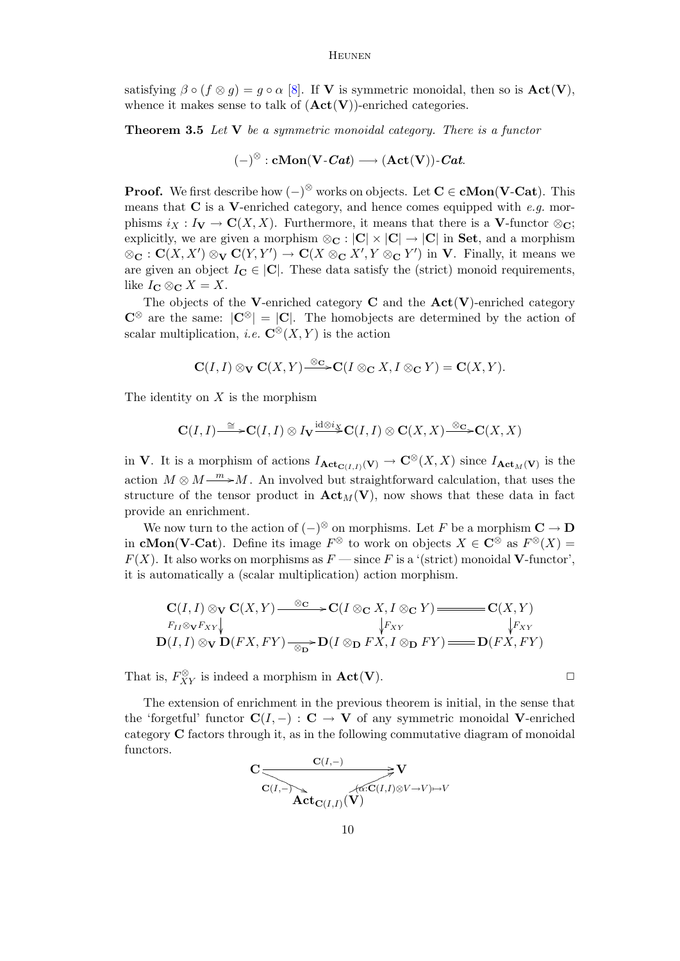satisfying  $\beta \circ (f \otimes q) = q \circ \alpha$  [\[8\]](#page-13-12). If **V** is symmetric monoidal, then so is  $Act(V)$ . whence it makes sense to talk of  $(Act(V))$ -enriched categories.

**Theorem 3.5** Let  $V$  be a symmetric monoidal category. There is a functor

$$
(-)^{\otimes} : \mathbf{cMon}(\mathbf{V} \text{-}\mathbf{\textit{Cat}}) \longrightarrow (\mathbf{Act}(\mathbf{V})) \text{-}\mathbf{\textit{Cat}}.
$$

**Proof.** We first describe how  $(-)^{\otimes}$  works on objects. Let  $C \in \mathbf{cMon}(V\text{-}\mathbf{Cat})$ . This means that  $C$  is a V-enriched category, and hence comes equipped with e.g. morphisms  $i_X : I_V \to \mathbf{C}(X, X)$ . Furthermore, it means that there is a V-functor  $\otimes_{\mathbf{C}}$ ; explicitly, we are given a morphism  $\otimes_{\mathbf{C}} : |\mathbf{C}| \times |\mathbf{C}| \to |\mathbf{C}|$  in **Set**, and a morphism  $\otimes_{\mathbf{C}} : \mathbf{C}(X,X') \otimes_{\mathbf{V}} \mathbf{C}(Y,Y') \to \mathbf{C}(X \otimes_{\mathbf{C}} X', Y \otimes_{\mathbf{C}} Y')$  in V. Finally, it means we are given an object  $I_{\mathbf{C}} \in |\mathbf{C}|$ . These data satisfy the (strict) monoid requirements, like  $I_{\mathbf{C}} \otimes_{\mathbf{C}} X = X$ .

The objects of the V-enriched category  $C$  and the  $Act(V)$ -enriched category  $\mathbb{C}^{\otimes}$  are the same:  $|\mathbb{C}^{\otimes}| = |\mathbb{C}|$ . The homobjects are determined by the action of scalar multiplication, *i.e.*  $\mathbb{C}^{\otimes}(X, Y)$  is the action

$$
\mathbf{C}(I,I) \otimes_{\mathbf{V}} \mathbf{C}(X,Y) \xrightarrow{\otimes_{\mathbf{C}}} \mathbf{C}(I \otimes_{\mathbf{C}} X, I \otimes_{\mathbf{C}} Y) = \mathbf{C}(X,Y).
$$

The identity on  $X$  is the morphism

$$
\mathbf{C}(I,I) \stackrel{\cong}{\longrightarrow} \mathbf{C}(I,I) \otimes I_{\mathbf{V}} \stackrel{\mathrm{id} \otimes i_{X}}{\longrightarrow} \mathbf{C}(I,I) \otimes \mathbf{C}(X,X) \stackrel{\otimes \mathbf{C}}{\longrightarrow} \mathbf{C}(X,X)
$$

in V. It is a morphism of actions  $I_{\text{Act}_{\mathbf{C}(I,I)}(\mathbf{V})} \to \mathbf{C}^{\otimes}(X,X)$  since  $I_{\text{Act}_M(\mathbf{V})}$  is the action  $M \otimes M \longrightarrow M$ . An involved but straightforward calculation, that uses the structure of the tensor product in  $\text{Act}_M(V)$ , now shows that these data in fact provide an enrichment.

We now turn to the action of  $(-)^\otimes$  on morphisms. Let F be a morphism  $\mathbf{C} \to \mathbf{D}$ in **cMon(V-Cat**). Define its image  $F^{\otimes}$  to work on objects  $X \in \mathbb{C}^{\otimes}$  as  $F^{\otimes}(X) =$  $F(X)$ . It also works on morphisms as  $F \longrightarrow \text{since } F$  is a '(strict) monoidal **V**-functor', it is automatically a (scalar multiplication) action morphism.

$$
\mathbf{C}(I,I) \otimes_{\mathbf{V}} \mathbf{C}(X,Y) \xrightarrow{\otimes_{\mathbf{C}}} \mathbf{C}(I \otimes_{\mathbf{C}} X, I \otimes_{\mathbf{C}} Y) \xrightarrow{F_{II} \otimes_{\mathbf{V}} F_{XY}} \mathbf{C}(X,Y)
$$
\n
$$
\downarrow F_{XY} \qquad \qquad \downarrow F_{XY}
$$
\n
$$
\mathbf{D}(I,I) \otimes_{\mathbf{V}} \mathbf{D}(FX, FY) \xrightarrow{\otimes_{\mathbf{D}}} \mathbf{D}(I \otimes_{\mathbf{D}} FX, I \otimes_{\mathbf{D}} FY) \xrightarrow{\cong} \mathbf{D}(FX, FY)
$$

That is,  $F_{XY}^{\otimes}$  is indeed a morphism in  $\text{Act}(V)$ .

The extension of enrichment in the previous theorem is initial, in the sense that the 'forgetful' functor  $\mathbf{C}(I, -) : \mathbf{C} \to \mathbf{V}$  of any symmetric monoidal V-enriched category C factors through it, as in the following commutative diagram of monoidal functors.

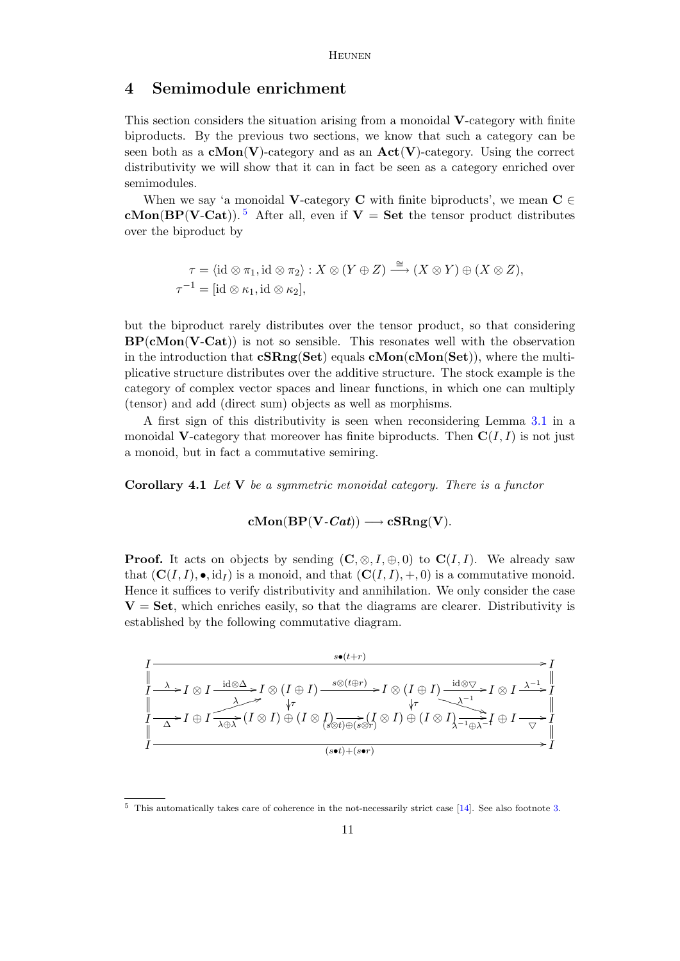### <span id="page-10-0"></span>4 Semimodule enrichment

This section considers the situation arising from a monoidal V-category with finite biproducts. By the previous two sections, we know that such a category can be seen both as a  $cMon(V)$ -category and as an  $Act(V)$ -category. Using the correct distributivity we will show that it can in fact be seen as a category enriched over semimodules.

When we say 'a monoidal V-category C with finite biproducts', we mean  $C \in$ cMon(BP(V-Cat)).<sup>[5](#page-10-1)</sup> After all, even if  $V =$  Set the tensor product distributes over the biproduct by

$$
\tau = \langle \mathrm{id} \otimes \pi_1, \mathrm{id} \otimes \pi_2 \rangle : X \otimes (Y \oplus Z) \xrightarrow{\cong} (X \otimes Y) \oplus (X \otimes Z),
$$
  

$$
\tau^{-1} = [\mathrm{id} \otimes \kappa_1, \mathrm{id} \otimes \kappa_2],
$$

but the biproduct rarely distributes over the tensor product, so that considering  $BP(cMon(V-Cat))$  is not so sensible. This resonates well with the observation in the introduction that  $cSRng(Set)$  equals  $cMon(CMon(Set))$ , where the multiplicative structure distributes over the additive structure. The stock example is the category of complex vector spaces and linear functions, in which one can multiply (tensor) and add (direct sum) objects as well as morphisms.

A first sign of this distributivity is seen when reconsidering Lemma [3.1](#page-6-1) in a monoidal V-category that moreover has finite biproducts. Then  $C(I, I)$  is not just a monoid, but in fact a commutative semiring.

Corollary 4.1 Let V be a symmetric monoidal category. There is a functor

 $cMon(BP(V-Cat)) \longrightarrow cSRng(V).$ 

**Proof.** It acts on objects by sending  $(C, \otimes, I, \oplus, 0)$  to  $C(I, I)$ . We already saw that  $(C(I, I), \bullet, id_I)$  is a monoid, and that  $(C(I, I), +, 0)$  is a commutative monoid. Hence it suffices to verify distributivity and annihilation. We only consider the case  $V = Set$ , which enriches easily, so that the diagrams are clearer. Distributivity is established by the following commutative diagram.



<span id="page-10-1"></span><sup>5</sup> This automatically takes care of coherence in the not-necessarily strict case [\[14\]](#page-13-13). See also footnote [3.](#page-3-1)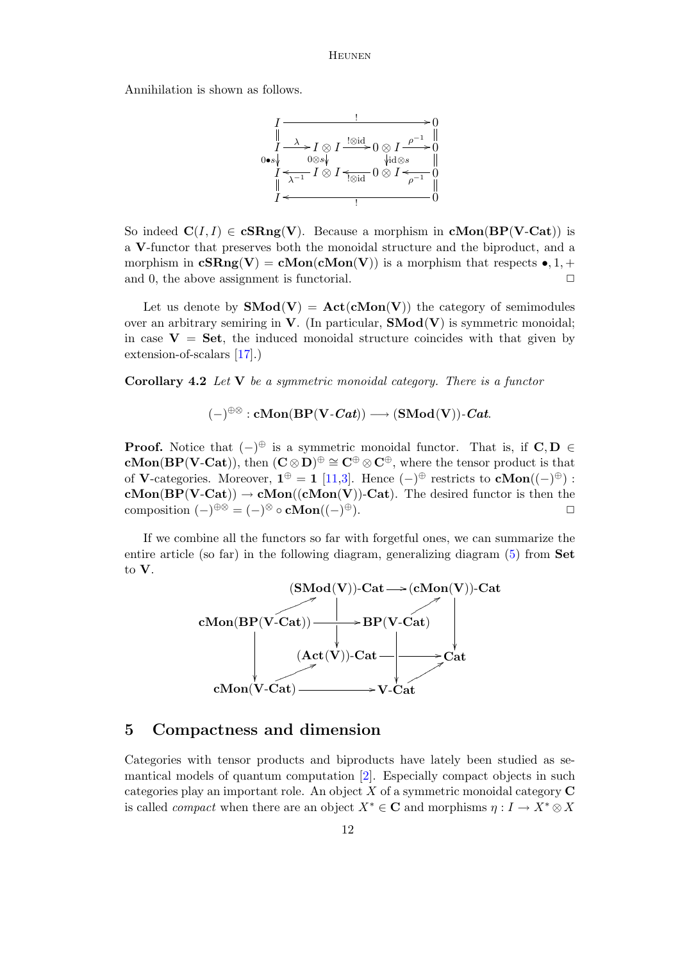Annihilation is shown as follows.



So indeed  $C(I, I) \in \mathbf{cSRng}(V)$ . Because a morphism in  $\mathbf{cMon}(BP(V\text{-}\mathrm{Cat}))$  is a V-functor that preserves both the monoidal structure and the biproduct, and a morphism in  $cSRng(V) = cMon(cMon(V))$  is a morphism that respects  $\bullet$ , 1, + and 0, the above assignment is functorial.  $\Box$ 

Let us denote by  $\text{SMod}(V) = \text{Act}(\text{cMon}(V))$  the category of semimodules over an arbitrary semiring in  $V$ . (In particular,  $\mathbf{SMod}(V)$  is symmetric monoidal; in case  $V = Set$ , the induced monoidal structure coincides with that given by extension-of-scalars [\[17\]](#page-13-14).)

Corollary 4.2 Let V be a symmetric monoidal category. There is a functor

 $(-)^{\oplus \otimes}: \mathbf{cMon}(\mathbf{BP}(\mathbf{V}\text{-}\mathbf{\textit{Cat}})) \longrightarrow (\mathbf{SMod}(\mathbf{V}))\text{-}\mathbf{\textit{Cat}}.$ 

**Proof.** Notice that  $(-)^\oplus$  is a symmetric monoidal functor. That is, if  $C, D \in$ **cMon(BP(V-Cat))**, then  $(C \otimes D)^{\oplus} \cong C^{\oplus} \otimes C^{\oplus}$ , where the tensor product is that of **V**-categories. Moreover,  $\mathbf{1}^{\oplus} = \mathbf{1}$  [\[11](#page-13-6)[,3\]](#page-13-10). Hence  $(-)^{\oplus}$  restricts to  $\mathbf{cMon}((-\)^{\oplus})$ :  $cMon(BP(V-Cat)) \rightarrow cMon((cMon(V))-Cat)$ . The desired functor is then the composition  $(-)^{\oplus \otimes} = (-)^{\otimes} \circ \mathbf{cMon}((-)$  $\oplus$ ).

If we combine all the functors so far with forgetful ones, we can summarize the entire article (so far) in the following diagram, generalizing diagram [\(5\)](#page-3-3) from Set to V.



### <span id="page-11-0"></span>5 Compactness and dimension

Categories with tensor products and biproducts have lately been studied as semantical models of quantum computation [\[2\]](#page-13-15). Especially compact objects in such categories play an important role. An object  $X$  of a symmetric monoidal category  $C$ is called *compact* when there are an object  $X^* \in \mathbf{C}$  and morphisms  $\eta: I \to X^* \otimes X$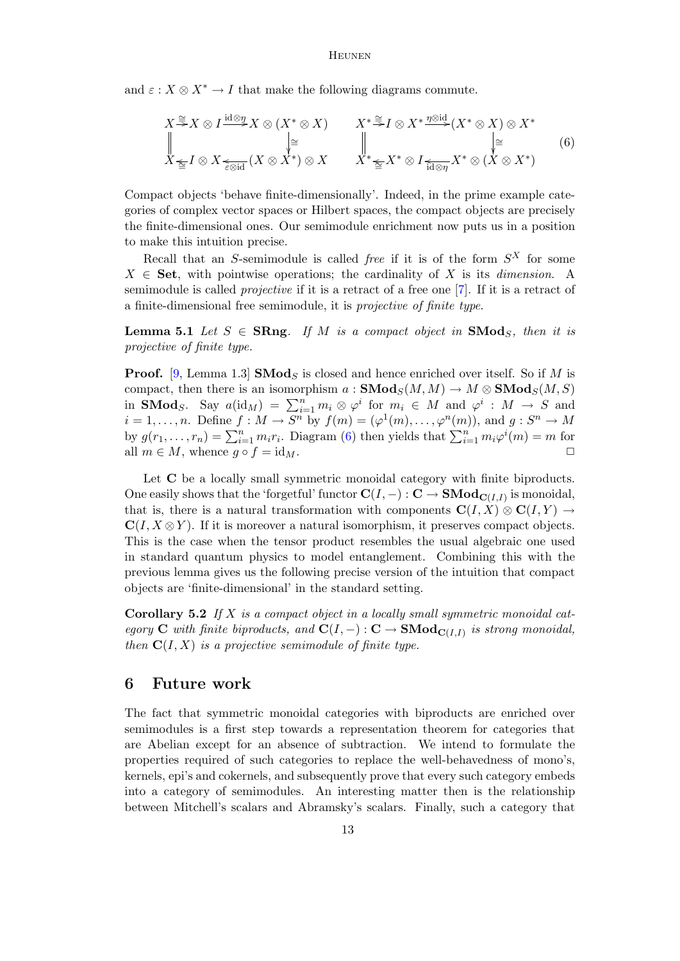and  $\varepsilon$  :  $X \otimes X^* \to I$  that make the following diagrams commute.

<span id="page-12-0"></span>
$$
X \stackrel{\cong}{\to} X \otimes I \stackrel{\text{id} \otimes \eta}{\to} X \otimes (X^* \otimes X) \qquad X^* \stackrel{\cong}{\to} I \otimes X^* \stackrel{\eta \otimes \text{id}}{\to} (X^* \otimes X) \otimes X^* \parallel \qquad \qquad \parallel \qquad \qquad \parallel \qquad \qquad \parallel X \leq I \otimes X \leq \text{Siid}(X \otimes X^*) \otimes X \qquad X^* \leq X^* \otimes I \leq \text{Li} \otimes \eta X^* \otimes (X \otimes X^*)
$$
\n(6)

Compact objects 'behave finite-dimensionally'. Indeed, in the prime example categories of complex vector spaces or Hilbert spaces, the compact objects are precisely the finite-dimensional ones. Our semimodule enrichment now puts us in a position to make this intuition precise.

Recall that an S-semimodule is called *free* if it is of the form  $S^X$  for some  $X \in$  Set, with pointwise operations; the cardinality of X is its *dimension*. A semimodule is called projective if it is a retract of a free one [\[7\]](#page-13-2). If it is a retract of a finite-dimensional free semimodule, it is projective of finite type.

**Lemma 5.1** Let  $S \in \mathbf{SRng}$ . If M is a compact object in  $\mathbf{SMod}_S$ , then it is projective of finite type.

**Proof.** [\[9,](#page-13-16) Lemma 1.3] **SMod**<sub>S</sub> is closed and hence enriched over itself. So if M is compact, then there is an isomorphism  $a : \mathbf{SMod}_S(M, M) \to M \otimes \mathbf{SMod}_S(M, S)$ in **SMod**<sub>S</sub>. Say  $a(\text{id}_M) = \sum_{i=1}^n m_i \otimes \varphi^i$  for  $m_i \in M$  and  $\varphi^i : M \to S$  and  $i = 1, \ldots, n$ . Define  $f : M \to S^n$  by  $f(m) = (\varphi^1(m), \ldots, \varphi^n(m))$ , and  $g : S^n \to M$ by  $g(r_1,...,r_n) = \sum_{i=1}^n m_i r_i$ . Diagram [\(6\)](#page-12-0) then yields that  $\sum_{i=1}^n m_i \varphi^i(m) = m$  for all  $m \in M$ , whence  $g \circ f = id_M$ .

Let **C** be a locally small symmetric monoidal category with finite biproducts. One easily shows that the 'forgetful' functor  $\mathbf{C}(I,-): \mathbf{C} \to \mathbf{SMod}_{\mathbf{C}(I,I)}$  is monoidal, that is, there is a natural transformation with components  $\mathbf{C}(I, X) \otimes \mathbf{C}(I, Y) \rightarrow$  $\mathbf{C}(I, X \otimes Y)$ . If it is moreover a natural isomorphism, it preserves compact objects. This is the case when the tensor product resembles the usual algebraic one used in standard quantum physics to model entanglement. Combining this with the previous lemma gives us the following precise version of the intuition that compact objects are 'finite-dimensional' in the standard setting.

**Corollary 5.2** If X is a compact object in a locally small symmetric monoidal category C with finite biproducts, and  $\mathbf{C}(I,-): \mathbf{C} \to \mathbf{SMod}_{\mathbf{C}(I,I)}$  is strong monoidal, then  $C(I, X)$  is a projective semimodule of finite type.

### 6 Future work

The fact that symmetric monoidal categories with biproducts are enriched over semimodules is a first step towards a representation theorem for categories that are Abelian except for an absence of subtraction. We intend to formulate the properties required of such categories to replace the well-behavedness of mono's, kernels, epi's and cokernels, and subsequently prove that every such category embeds into a category of semimodules. An interesting matter then is the relationship between Mitchell's scalars and Abramsky's scalars. Finally, such a category that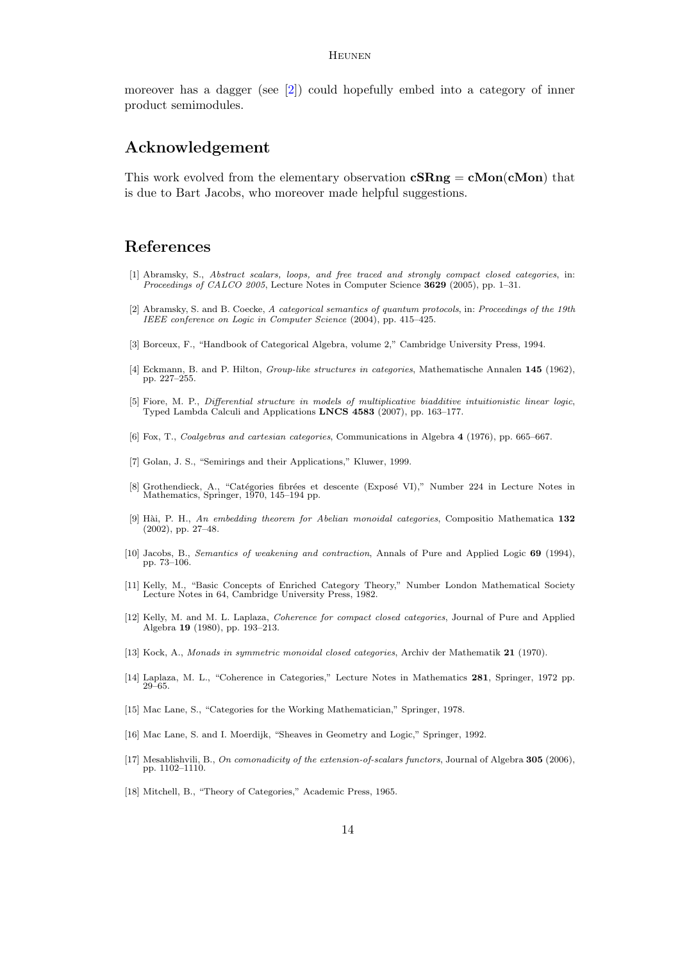### Heunen

moreover has a dagger (see [\[2\]](#page-13-15)) could hopefully embed into a category of inner product semimodules.

# Acknowledgement

This work evolved from the elementary observation  $\mathbf{cSRng} = \mathbf{cMon}(\mathbf{cMon})$  that is due to Bart Jacobs, who moreover made helpful suggestions.

# References

- <span id="page-13-1"></span>[1] Abramsky, S., Abstract scalars, loops, and free traced and strongly compact closed categories, in: Proceedings of CALCO 2005, Lecture Notes in Computer Science 3629 (2005), pp. 1–31.
- <span id="page-13-15"></span>[2] Abramsky, S. and B. Coecke, A categorical semantics of quantum protocols, in: Proceedings of the 19th IEEE conference on Logic in Computer Science (2004), pp. 415–425.
- <span id="page-13-10"></span>[3] Borceux, F., "Handbook of Categorical Algebra, volume 2," Cambridge University Press, 1994.
- <span id="page-13-17"></span>[4] Eckmann, B. and P. Hilton, Group-like structures in categories, Mathematische Annalen 145 (1962), pp. 227–255.
- <span id="page-13-5"></span>[5] Fiore, M. P., Differential structure in models of multiplicative biadditive intuitionistic linear logic, Typed Lambda Calculi and Applications LNCS 4583 (2007), pp. 163–177.
- <span id="page-13-4"></span>[6] Fox, T., Coalgebras and cartesian categories, Communications in Algebra 4 (1976), pp. 665–667.
- <span id="page-13-2"></span>[7] Golan, J. S., "Semirings and their Applications," Kluwer, 1999.
- <span id="page-13-12"></span>[8] Grothendieck, A., "Catégories fibrées et descente (Exposé VI)," Number 224 in Lecture Notes in Mathematics, Springer, 1970, 145–194 pp.
- <span id="page-13-16"></span>[9] Hài, P. H., An embedding theorem for Abelian monoidal categories, Compositio Mathematica 132 (2002), pp. 27–48.
- <span id="page-13-8"></span>[10] Jacobs, B., Semantics of weakening and contraction, Annals of Pure and Applied Logic 69 (1994), pp. 73–106.
- <span id="page-13-6"></span>[11] Kelly, M., "Basic Concepts of Enriched Category Theory," Number London Mathematical Society Lecture Notes in 64, Cambridge University Press, 1982.
- <span id="page-13-9"></span>[12] Kelly, M. and M. L. Laplaza, Coherence for compact closed categories, Journal of Pure and Applied Algebra 19 (1980), pp. 193–213.
- <span id="page-13-7"></span>[13] Kock, A., Monads in symmetric monoidal closed categories, Archiv der Mathematik 21 (1970).
- <span id="page-13-13"></span>[14] Laplaza, M. L., "Coherence in Categories," Lecture Notes in Mathematics 281, Springer, 1972 pp. 29–65.
- <span id="page-13-3"></span>[15] Mac Lane, S., "Categories for the Working Mathematician," Springer, 1978.
- <span id="page-13-11"></span>[16] Mac Lane, S. and I. Moerdijk, "Sheaves in Geometry and Logic," Springer, 1992.
- <span id="page-13-14"></span>[17] Mesablishvili, B., On comonadicity of the extension-of-scalars functors, Journal of Algebra 305 (2006), pp. 1102–1110.
- <span id="page-13-0"></span>[18] Mitchell, B., "Theory of Categories," Academic Press, 1965.